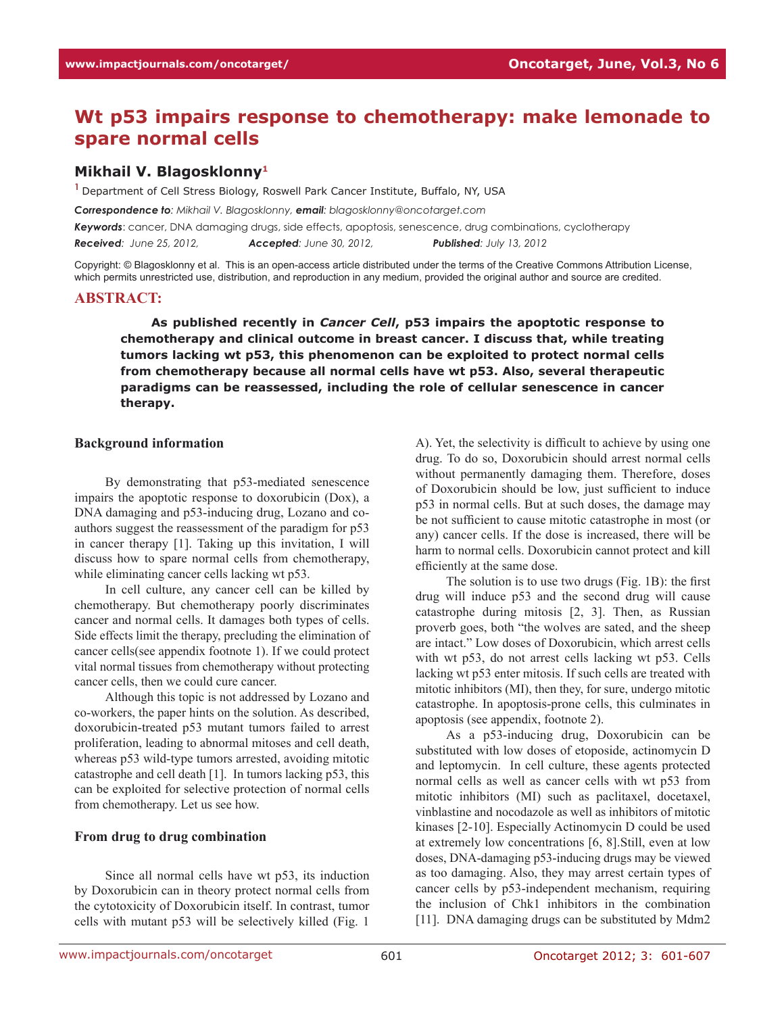# **Wt p53 impairs response to chemotherapy: make lemonade to spare normal cells**

### **Mikhail V. Blagosklonny1**

<sup>1</sup> Department of Cell Stress Biology, Roswell Park Cancer Institute, Buffalo, NY, USA

*Correspondence to: Mikhail V. Blagosklonny, email: blagosklonny@oncotarget.com Keywords*: cancer, DNA damaging drugs, side effects, apoptosis, senescence, drug combinations, cyclotherapy *Received: June 25, 2012, Accepted: June 30, 2012, Published: July 13, 2012*

Copyright: © Blagosklonny et al. This is an open-access article distributed under the terms of the Creative Commons Attribution License, which permits unrestricted use, distribution, and reproduction in any medium, provided the original author and source are credited.

#### **ABSTRACT:**

**As published recently in** *Cancer Cell***, p53 impairs the apoptotic response to chemotherapy and clinical outcome in breast cancer. I discuss that, while treating tumors lacking wt p53, this phenomenon can be exploited to protect normal cells from chemotherapy because all normal cells have wt p53. Also, several therapeutic paradigms can be reassessed, including the role of cellular senescence in cancer therapy.**

#### **Background information**

By demonstrating that p53-mediated senescence impairs the apoptotic response to doxorubicin (Dox), a DNA damaging and p53-inducing drug, Lozano and coauthors suggest the reassessment of the paradigm for p53 in cancer therapy [1]. Taking up this invitation, I will discuss how to spare normal cells from chemotherapy, while eliminating cancer cells lacking wt p53.

In cell culture, any cancer cell can be killed by chemotherapy. But chemotherapy poorly discriminates cancer and normal cells. It damages both types of cells. Side effects limit the therapy, precluding the elimination of cancer cells(see appendix footnote 1). If we could protect vital normal tissues from chemotherapy without protecting cancer cells, then we could cure cancer.

Although this topic is not addressed by Lozano and co-workers, the paper hints on the solution. As described, doxorubicin-treated p53 mutant tumors failed to arrest proliferation, leading to abnormal mitoses and cell death, whereas p53 wild-type tumors arrested, avoiding mitotic catastrophe and cell death [1]. In tumors lacking p53, this can be exploited for selective protection of normal cells from chemotherapy. Let us see how.

#### **From drug to drug combination**

Since all normal cells have wt p53, its induction by Doxorubicin can in theory protect normal cells from the cytotoxicity of Doxorubicin itself. In contrast, tumor cells with mutant p53 will be selectively killed (Fig. 1

A). Yet, the selectivity is difficult to achieve by using one drug. To do so, Doxorubicin should arrest normal cells without permanently damaging them. Therefore, doses of Doxorubicin should be low, just sufficient to induce p53 in normal cells. But at such doses, the damage may be not sufficient to cause mitotic catastrophe in most (or any) cancer cells. If the dose is increased, there will be harm to normal cells. Doxorubicin cannot protect and kill efficiently at the same dose.

The solution is to use two drugs (Fig. 1B): the first drug will induce p53 and the second drug will cause catastrophe during mitosis [2, 3]. Then, as Russian proverb goes, both "the wolves are sated, and the sheep are intact." Low doses of Doxorubicin, which arrest cells with wt p53, do not arrest cells lacking wt p53. Cells lacking wt p53 enter mitosis. If such cells are treated with mitotic inhibitors (MI), then they, for sure, undergo mitotic catastrophe. In apoptosis-prone cells, this culminates in apoptosis (see appendix, footnote 2).

As a p53-inducing drug, Doxorubicin can be substituted with low doses of etoposide, actinomycin D and leptomycin. In cell culture, these agents protected normal cells as well as cancer cells with wt p53 from mitotic inhibitors (MI) such as paclitaxel, docetaxel, vinblastine and nocodazole as well as inhibitors of mitotic kinases [2-10]. Especially Actinomycin D could be used at extremely low concentrations [6, 8].Still, even at low doses, DNA-damaging p53-inducing drugs may be viewed as too damaging. Also, they may arrest certain types of cancer cells by p53-independent mechanism, requiring the inclusion of Chk1 inhibitors in the combination [11]. DNA damaging drugs can be substituted by Mdm2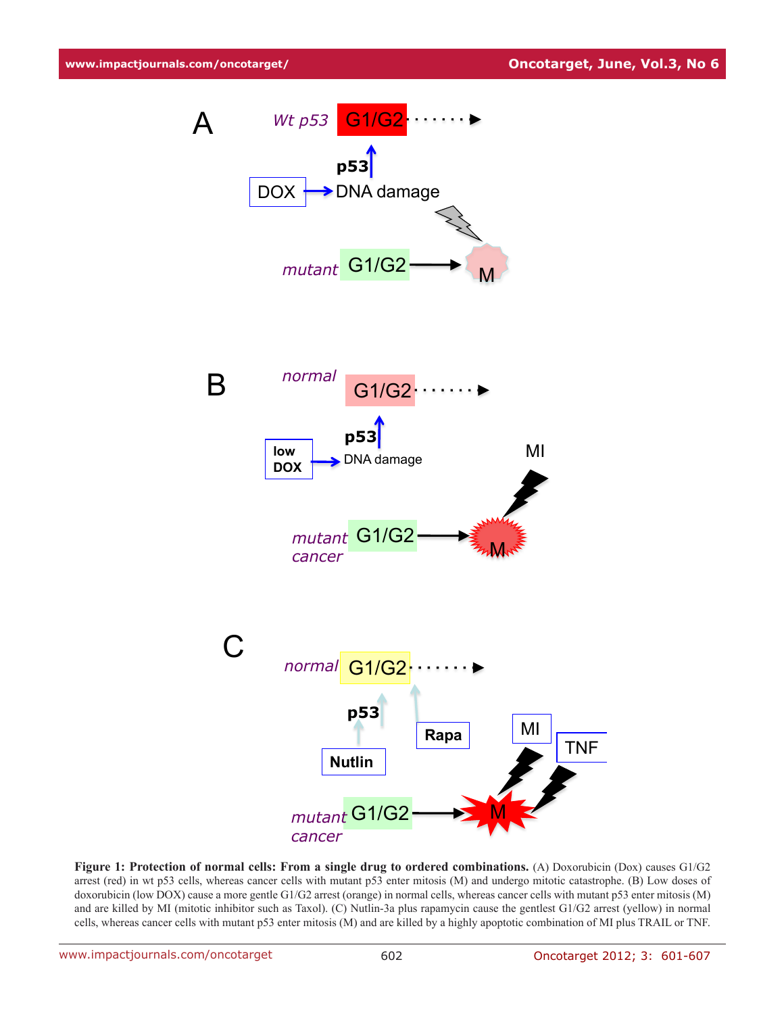

**Figure 1: Protection of normal cells: From a single drug to ordered combinations.** (A) Doxorubicin (Dox) causes G1/G2 arrest (red) in wt p53 cells, whereas cancer cells with mutant p53 enter mitosis (M) and undergo mitotic catastrophe. (B) Low doses of doxorubicin (low DOX) cause a more gentle G1/G2 arrest (orange) in normal cells, whereas cancer cells with mutant p53 enter mitosis (M) and are killed by MI (mitotic inhibitor such as Taxol). (C) Nutlin-3a plus rapamycin cause the gentlest G1/G2 arrest (yellow) in normal cells, whereas cancer cells with mutant p53 enter mitosis (M) and are killed by a highly apoptotic combination of MI plus TRAIL or TNF.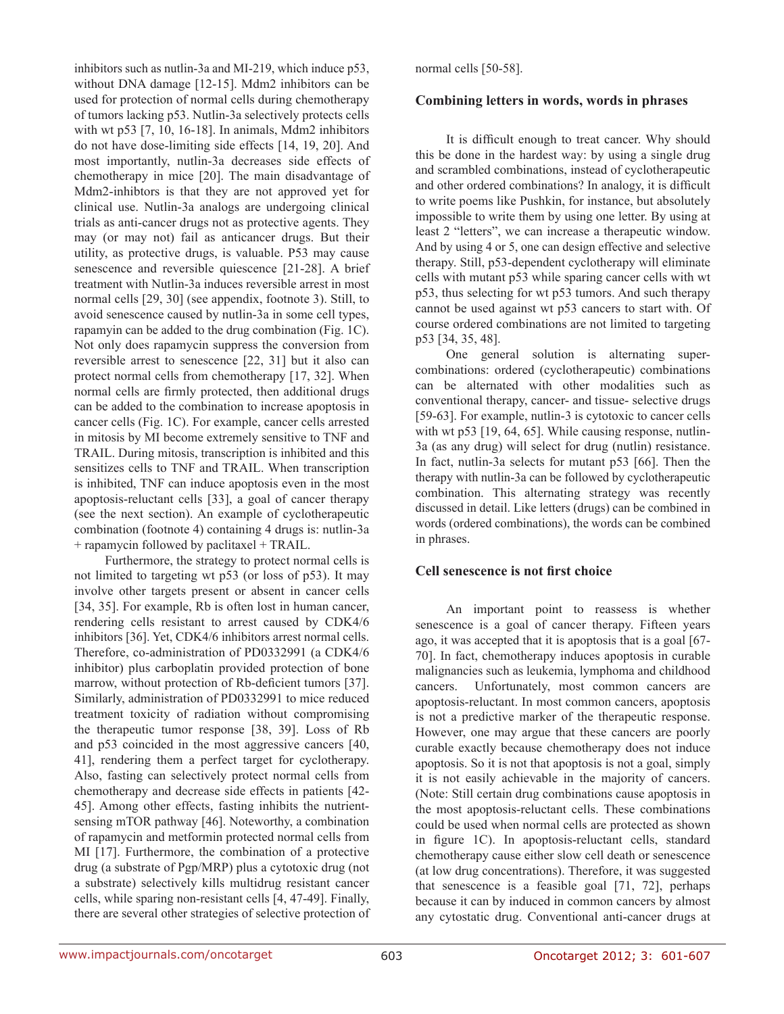inhibitors such as nutlin-3a and MI-219, which induce p53, without DNA damage [12-15]. Mdm2 inhibitors can be used for protection of normal cells during chemotherapy of tumors lacking p53. Nutlin-3a selectively protects cells with wt p53 [7, 10, 16-18]. In animals, Mdm2 inhibitors do not have dose-limiting side effects [14, 19, 20]. And most importantly, nutlin-3a decreases side effects of chemotherapy in mice [20]. The main disadvantage of Mdm2-inhibtors is that they are not approved yet for clinical use. Nutlin-3a analogs are undergoing clinical trials as anti-cancer drugs not as protective agents. They may (or may not) fail as anticancer drugs. But their utility, as protective drugs, is valuable. P53 may cause senescence and reversible quiescence [21-28]. A brief treatment with Nutlin-3a induces reversible arrest in most normal cells [29, 30] (see appendix, footnote 3). Still, to avoid senescence caused by nutlin-3a in some cell types, rapamyin can be added to the drug combination (Fig. 1C). Not only does rapamycin suppress the conversion from reversible arrest to senescence [22, 31] but it also can protect normal cells from chemotherapy [17, 32]. When normal cells are firmly protected, then additional drugs can be added to the combination to increase apoptosis in cancer cells (Fig. 1C). For example, cancer cells arrested in mitosis by MI become extremely sensitive to TNF and TRAIL. During mitosis, transcription is inhibited and this sensitizes cells to TNF and TRAIL. When transcription is inhibited, TNF can induce apoptosis even in the most apoptosis-reluctant cells [33], a goal of cancer therapy (see the next section). An example of cyclotherapeutic combination (footnote 4) containing 4 drugs is: nutlin-3a + rapamycin followed by paclitaxel + TRAIL.

Furthermore, the strategy to protect normal cells is not limited to targeting wt p53 (or loss of p53). It may involve other targets present or absent in cancer cells [34, 35]. For example, Rb is often lost in human cancer, rendering cells resistant to arrest caused by CDK4/6 inhibitors [36]. Yet, CDK4/6 inhibitors arrest normal cells. Therefore, co-administration of PD0332991 (a CDK4/6 inhibitor) plus carboplatin provided protection of bone marrow, without protection of Rb-deficient tumors [37]. Similarly, administration of PD0332991 to mice reduced treatment toxicity of radiation without compromising the therapeutic tumor response [38, 39]. Loss of Rb and p53 coincided in the most aggressive cancers [40, 41], rendering them a perfect target for cyclotherapy. Also, fasting can selectively protect normal cells from chemotherapy and decrease side effects in patients [42- 45]. Among other effects, fasting inhibits the nutrientsensing mTOR pathway [46]. Noteworthy, a combination of rapamycin and metformin protected normal cells from MI [17]. Furthermore, the combination of a protective drug (a substrate of Pgp/MRP) plus a cytotoxic drug (not a substrate) selectively kills multidrug resistant cancer cells, while sparing non-resistant cells [4, 47-49]. Finally, there are several other strategies of selective protection of normal cells [50-58].

#### **Combining letters in words, words in phrases**

It is difficult enough to treat cancer. Why should this be done in the hardest way: by using a single drug and scrambled combinations, instead of cyclotherapeutic and other ordered combinations? In analogy, it is difficult to write poems like Pushkin, for instance, but absolutely impossible to write them by using one letter. By using at least 2 "letters", we can increase a therapeutic window. And by using 4 or 5, one can design effective and selective therapy. Still, p53-dependent cyclotherapy will eliminate cells with mutant p53 while sparing cancer cells with wt p53, thus selecting for wt p53 tumors. And such therapy cannot be used against wt p53 cancers to start with. Of course ordered combinations are not limited to targeting p53 [34, 35, 48].

One general solution is alternating supercombinations: ordered (cyclotherapeutic) combinations can be alternated with other modalities such as conventional therapy, cancer- and tissue- selective drugs [59-63]. For example, nutlin-3 is cytotoxic to cancer cells with wt p53 [19, 64, 65]. While causing response, nutlin-3a (as any drug) will select for drug (nutlin) resistance. In fact, nutlin-3a selects for mutant p53 [66]. Then the therapy with nutlin-3a can be followed by cyclotherapeutic combination. This alternating strategy was recently discussed in detail. Like letters (drugs) can be combined in words (ordered combinations), the words can be combined in phrases.

## **Cell senescence is not first choice**

An important point to reassess is whether senescence is a goal of cancer therapy. Fifteen years ago, it was accepted that it is apoptosis that is a goal [67- 70]. In fact, chemotherapy induces apoptosis in curable malignancies such as leukemia, lymphoma and childhood cancers. Unfortunately, most common cancers are apoptosis-reluctant. In most common cancers, apoptosis is not a predictive marker of the therapeutic response. However, one may argue that these cancers are poorly curable exactly because chemotherapy does not induce apoptosis. So it is not that apoptosis is not a goal, simply it is not easily achievable in the majority of cancers. (Note: Still certain drug combinations cause apoptosis in the most apoptosis-reluctant cells. These combinations could be used when normal cells are protected as shown in figure 1C). In apoptosis-reluctant cells, standard chemotherapy cause either slow cell death or senescence (at low drug concentrations). Therefore, it was suggested that senescence is a feasible goal [71, 72], perhaps because it can by induced in common cancers by almost any cytostatic drug. Conventional anti-cancer drugs at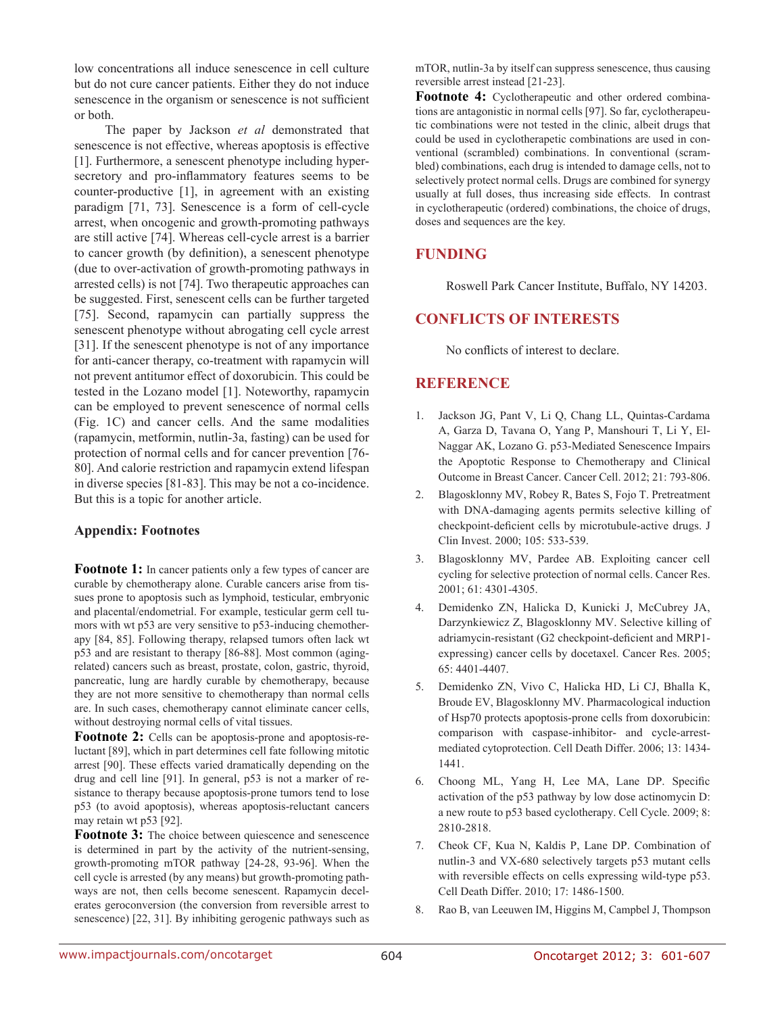low concentrations all induce senescence in cell culture but do not cure cancer patients. Either they do not induce senescence in the organism or senescence is not sufficient or both.

The paper by Jackson *et al* demonstrated that senescence is not effective, whereas apoptosis is effective [1]. Furthermore, a senescent phenotype including hypersecretory and pro-inflammatory features seems to be counter-productive [1], in agreement with an existing paradigm [71, 73]. Senescence is a form of cell-cycle arrest, when oncogenic and growth-promoting pathways are still active [74]. Whereas cell-cycle arrest is a barrier to cancer growth (by definition), a senescent phenotype (due to over-activation of growth-promoting pathways in arrested cells) is not [74]. Two therapeutic approaches can be suggested. First, senescent cells can be further targeted [75]. Second, rapamycin can partially suppress the senescent phenotype without abrogating cell cycle arrest [31]. If the senescent phenotype is not of any importance for anti-cancer therapy, co-treatment with rapamycin will not prevent antitumor effect of doxorubicin. This could be tested in the Lozano model [1]. Noteworthy, rapamycin can be employed to prevent senescence of normal cells (Fig. 1C) and cancer cells. And the same modalities (rapamycin, metformin, nutlin-3a, fasting) can be used for protection of normal cells and for cancer prevention [76- 80]. And calorie restriction and rapamycin extend lifespan in diverse species [81-83]. This may be not a co-incidence. But this is a topic for another article.

## **Appendix: Footnotes**

**Footnote 1:** In cancer patients only a few types of cancer are curable by chemotherapy alone. Curable cancers arise from tissues prone to apoptosis such as lymphoid, testicular, embryonic and placental/endometrial. For example, testicular germ cell tumors with wt p53 are very sensitive to p53-inducing chemotherapy [84, 85]. Following therapy, relapsed tumors often lack wt p53 and are resistant to therapy [86-88]. Most common (agingrelated) cancers such as breast, prostate, colon, gastric, thyroid, pancreatic, lung are hardly curable by chemotherapy, because they are not more sensitive to chemotherapy than normal cells are. In such cases, chemotherapy cannot eliminate cancer cells, without destroying normal cells of vital tissues.

Footnote 2: Cells can be apoptosis-prone and apoptosis-reluctant [89], which in part determines cell fate following mitotic arrest [90]. These effects varied dramatically depending on the drug and cell line [91]. In general, p53 is not a marker of resistance to therapy because apoptosis-prone tumors tend to lose p53 (to avoid apoptosis), whereas apoptosis-reluctant cancers may retain wt p53 [92].

**Footnote 3:** The choice between quiescence and senescence is determined in part by the activity of the nutrient-sensing, growth-promoting mTOR pathway [24-28, 93-96]. When the cell cycle is arrested (by any means) but growth-promoting pathways are not, then cells become senescent. Rapamycin decelerates geroconversion (the conversion from reversible arrest to senescence) [22, 31]. By inhibiting gerogenic pathways such as

mTOR, nutlin-3a by itself can suppress senescence, thus causing reversible arrest instead [21-23].

**Footnote 4:** Cyclotherapeutic and other ordered combinations are antagonistic in normal cells [97]. So far, cyclotherapeutic combinations were not tested in the clinic, albeit drugs that could be used in cyclotherapetic combinations are used in conventional (scrambled) combinations. In conventional (scrambled) combinations, each drug is intended to damage cells, not to selectively protect normal cells. Drugs are combined for synergy usually at full doses, thus increasing side effects. In contrast in cyclotherapeutic (ordered) combinations, the choice of drugs, doses and sequences are the key.

# **FUNDING**

Roswell Park Cancer Institute, Buffalo, NY 14203.

## **CONFLICTS OF INTERESTS**

No conflicts of interest to declare.

# **REFERENCE**

- 1. Jackson JG, Pant V, Li Q, Chang LL, Quintas-Cardama A, Garza D, Tavana O, Yang P, Manshouri T, Li Y, El-Naggar AK, Lozano G. p53-Mediated Senescence Impairs the Apoptotic Response to Chemotherapy and Clinical Outcome in Breast Cancer. Cancer Cell. 2012; 21: 793-806.
- 2. Blagosklonny MV, Robey R, Bates S, Fojo T. Pretreatment with DNA-damaging agents permits selective killing of checkpoint-deficient cells by microtubule-active drugs. J Clin Invest. 2000; 105: 533-539.
- 3. Blagosklonny MV, Pardee AB. Exploiting cancer cell cycling for selective protection of normal cells. Cancer Res. 2001; 61: 4301-4305.
- 4. Demidenko ZN, Halicka D, Kunicki J, McCubrey JA, Darzynkiewicz Z, Blagosklonny MV. Selective killing of adriamycin-resistant (G2 checkpoint-deficient and MRP1 expressing) cancer cells by docetaxel. Cancer Res. 2005; 65: 4401-4407.
- 5. Demidenko ZN, Vivo C, Halicka HD, Li CJ, Bhalla K, Broude EV, Blagosklonny MV. Pharmacological induction of Hsp70 protects apoptosis-prone cells from doxorubicin: comparison with caspase-inhibitor- and cycle-arrestmediated cytoprotection. Cell Death Differ. 2006; 13: 1434- 1441.
- 6. Choong ML, Yang H, Lee MA, Lane DP. Specific activation of the p53 pathway by low dose actinomycin D: a new route to p53 based cyclotherapy. Cell Cycle. 2009; 8: 2810-2818.
- 7. Cheok CF, Kua N, Kaldis P, Lane DP. Combination of nutlin-3 and VX-680 selectively targets p53 mutant cells with reversible effects on cells expressing wild-type p53. Cell Death Differ. 2010; 17: 1486-1500.
- 8. Rao B, van Leeuwen IM, Higgins M, Campbel J, Thompson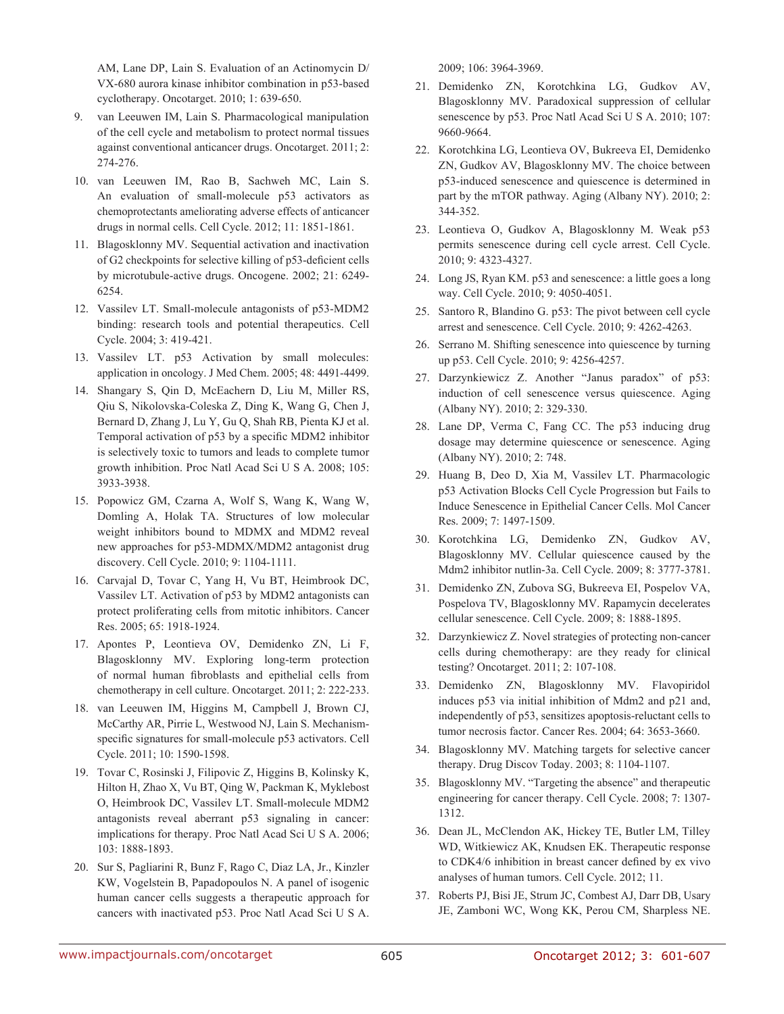AM, Lane DP, Lain S. Evaluation of an Actinomycin D/ VX-680 aurora kinase inhibitor combination in p53-based cyclotherapy. Oncotarget. 2010; 1: 639-650.

- 9. van Leeuwen IM, Lain S. Pharmacological manipulation of the cell cycle and metabolism to protect normal tissues against conventional anticancer drugs. Oncotarget. 2011; 2: 274-276.
- 10. van Leeuwen IM, Rao B, Sachweh MC, Lain S. An evaluation of small-molecule p53 activators as chemoprotectants ameliorating adverse effects of anticancer drugs in normal cells. Cell Cycle. 2012; 11: 1851-1861.
- 11. Blagosklonny MV. Sequential activation and inactivation of G2 checkpoints for selective killing of p53-deficient cells by microtubule-active drugs. Oncogene. 2002; 21: 6249- 6254.
- 12. Vassilev LT. Small-molecule antagonists of p53-MDM2 binding: research tools and potential therapeutics. Cell Cycle. 2004; 3: 419-421.
- 13. Vassilev LT. p53 Activation by small molecules: application in oncology. J Med Chem. 2005; 48: 4491-4499.
- 14. Shangary S, Qin D, McEachern D, Liu M, Miller RS, Qiu S, Nikolovska-Coleska Z, Ding K, Wang G, Chen J, Bernard D, Zhang J, Lu Y, Gu Q, Shah RB, Pienta KJ et al. Temporal activation of p53 by a specific MDM2 inhibitor is selectively toxic to tumors and leads to complete tumor growth inhibition. Proc Natl Acad Sci U S A. 2008; 105: 3933-3938.
- 15. Popowicz GM, Czarna A, Wolf S, Wang K, Wang W, Domling A, Holak TA. Structures of low molecular weight inhibitors bound to MDMX and MDM2 reveal new approaches for p53-MDMX/MDM2 antagonist drug discovery. Cell Cycle. 2010; 9: 1104-1111.
- 16. Carvajal D, Tovar C, Yang H, Vu BT, Heimbrook DC, Vassilev LT. Activation of p53 by MDM2 antagonists can protect proliferating cells from mitotic inhibitors. Cancer Res. 2005; 65: 1918-1924.
- 17. Apontes P, Leontieva OV, Demidenko ZN, Li F, Blagosklonny MV. Exploring long-term protection of normal human fibroblasts and epithelial cells from chemotherapy in cell culture. Oncotarget. 2011; 2: 222-233.
- 18. van Leeuwen IM, Higgins M, Campbell J, Brown CJ, McCarthy AR, Pirrie L, Westwood NJ, Lain S. Mechanismspecific signatures for small-molecule p53 activators. Cell Cycle. 2011; 10: 1590-1598.
- 19. Tovar C, Rosinski J, Filipovic Z, Higgins B, Kolinsky K, Hilton H, Zhao X, Vu BT, Qing W, Packman K, Myklebost O, Heimbrook DC, Vassilev LT. Small-molecule MDM2 antagonists reveal aberrant p53 signaling in cancer: implications for therapy. Proc Natl Acad Sci U S A. 2006; 103: 1888-1893.
- 20. Sur S, Pagliarini R, Bunz F, Rago C, Diaz LA, Jr., Kinzler KW, Vogelstein B, Papadopoulos N. A panel of isogenic human cancer cells suggests a therapeutic approach for cancers with inactivated p53. Proc Natl Acad Sci U S A.

2009; 106: 3964-3969.

- 21. Demidenko ZN, Korotchkina LG, Gudkov AV, Blagosklonny MV. Paradoxical suppression of cellular senescence by p53. Proc Natl Acad Sci U S A. 2010; 107: 9660-9664.
- 22. Korotchkina LG, Leontieva OV, Bukreeva EI, Demidenko ZN, Gudkov AV, Blagosklonny MV. The choice between p53-induced senescence and quiescence is determined in part by the mTOR pathway. Aging (Albany NY). 2010; 2: 344-352.
- 23. Leontieva O, Gudkov A, Blagosklonny M. Weak p53 permits senescence during cell cycle arrest. Cell Cycle. 2010; 9: 4323-4327.
- 24. Long JS, Ryan KM. p53 and senescence: a little goes a long way. Cell Cycle. 2010; 9: 4050-4051.
- 25. Santoro R, Blandino G. p53: The pivot between cell cycle arrest and senescence. Cell Cycle. 2010; 9: 4262-4263.
- 26. Serrano M. Shifting senescence into quiescence by turning up p53. Cell Cycle. 2010; 9: 4256-4257.
- 27. Darzynkiewicz Z. Another "Janus paradox" of p53: induction of cell senescence versus quiescence. Aging (Albany NY). 2010; 2: 329-330.
- 28. Lane DP, Verma C, Fang CC. The p53 inducing drug dosage may determine quiescence or senescence. Aging (Albany NY). 2010; 2: 748.
- 29. Huang B, Deo D, Xia M, Vassilev LT. Pharmacologic p53 Activation Blocks Cell Cycle Progression but Fails to Induce Senescence in Epithelial Cancer Cells. Mol Cancer Res. 2009; 7: 1497-1509.
- 30. Korotchkina LG, Demidenko ZN, Gudkov AV, Blagosklonny MV. Cellular quiescence caused by the Mdm2 inhibitor nutlin-3a. Cell Cycle. 2009; 8: 3777-3781.
- 31. Demidenko ZN, Zubova SG, Bukreeva EI, Pospelov VA, Pospelova TV, Blagosklonny MV. Rapamycin decelerates cellular senescence. Cell Cycle. 2009; 8: 1888-1895.
- 32. Darzynkiewicz Z. Novel strategies of protecting non-cancer cells during chemotherapy: are they ready for clinical testing? Oncotarget. 2011; 2: 107-108.
- 33. Demidenko ZN, Blagosklonny MV. Flavopiridol induces p53 via initial inhibition of Mdm2 and p21 and, independently of p53, sensitizes apoptosis-reluctant cells to tumor necrosis factor. Cancer Res. 2004; 64: 3653-3660.
- 34. Blagosklonny MV. Matching targets for selective cancer therapy. Drug Discov Today. 2003; 8: 1104-1107.
- 35. Blagosklonny MV. "Targeting the absence" and therapeutic engineering for cancer therapy. Cell Cycle. 2008; 7: 1307- 1312.
- 36. Dean JL, McClendon AK, Hickey TE, Butler LM, Tilley WD, Witkiewicz AK, Knudsen EK. Therapeutic response to CDK4/6 inhibition in breast cancer defined by ex vivo analyses of human tumors. Cell Cycle. 2012; 11.
- 37. Roberts PJ, Bisi JE, Strum JC, Combest AJ, Darr DB, Usary JE, Zamboni WC, Wong KK, Perou CM, Sharpless NE.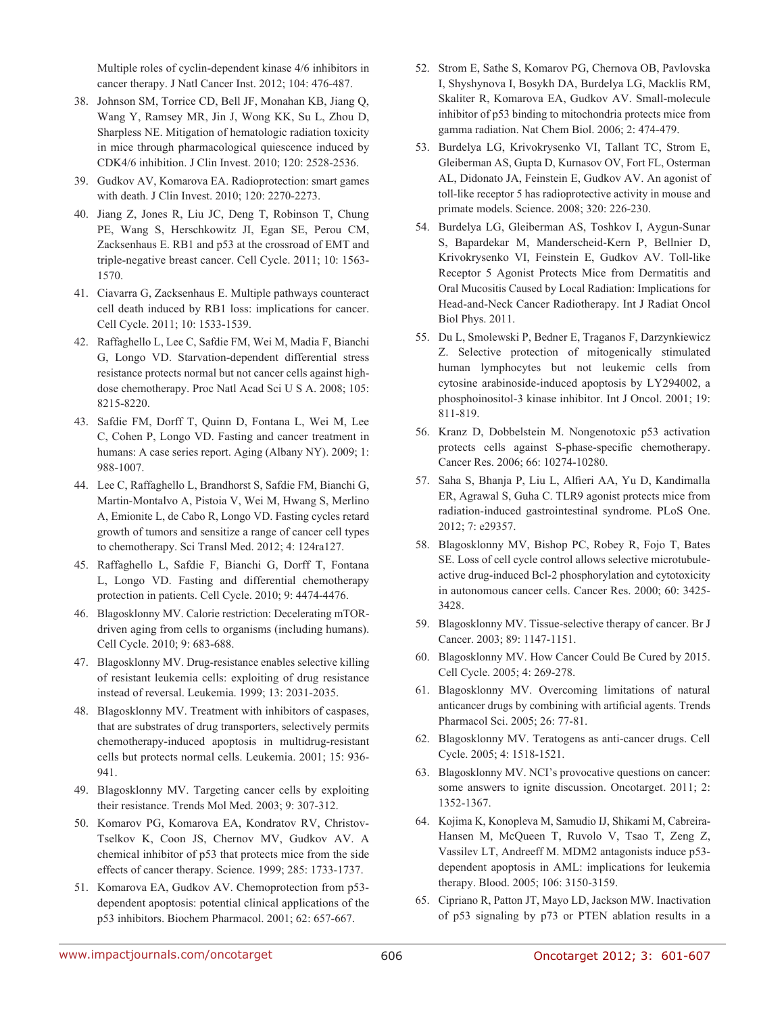Multiple roles of cyclin-dependent kinase 4/6 inhibitors in cancer therapy. J Natl Cancer Inst. 2012; 104: 476-487.

- 38. Johnson SM, Torrice CD, Bell JF, Monahan KB, Jiang Q, Wang Y, Ramsey MR, Jin J, Wong KK, Su L, Zhou D, Sharpless NE. Mitigation of hematologic radiation toxicity in mice through pharmacological quiescence induced by CDK4/6 inhibition. J Clin Invest. 2010; 120: 2528-2536.
- 39. Gudkov AV, Komarova EA. Radioprotection: smart games with death. J Clin Invest. 2010; 120: 2270-2273.
- 40. Jiang Z, Jones R, Liu JC, Deng T, Robinson T, Chung PE, Wang S, Herschkowitz JI, Egan SE, Perou CM, Zacksenhaus E. RB1 and p53 at the crossroad of EMT and triple-negative breast cancer. Cell Cycle. 2011; 10: 1563- 1570.
- 41. Ciavarra G, Zacksenhaus E. Multiple pathways counteract cell death induced by RB1 loss: implications for cancer. Cell Cycle. 2011; 10: 1533-1539.
- 42. Raffaghello L, Lee C, Safdie FM, Wei M, Madia F, Bianchi G, Longo VD. Starvation-dependent differential stress resistance protects normal but not cancer cells against highdose chemotherapy. Proc Natl Acad Sci U S A. 2008; 105: 8215-8220.
- 43. Safdie FM, Dorff T, Quinn D, Fontana L, Wei M, Lee C, Cohen P, Longo VD. Fasting and cancer treatment in humans: A case series report. Aging (Albany NY). 2009; 1: 988-1007.
- 44. Lee C, Raffaghello L, Brandhorst S, Safdie FM, Bianchi G, Martin-Montalvo A, Pistoia V, Wei M, Hwang S, Merlino A, Emionite L, de Cabo R, Longo VD. Fasting cycles retard growth of tumors and sensitize a range of cancer cell types to chemotherapy. Sci Transl Med. 2012; 4: 124ra127.
- 45. Raffaghello L, Safdie F, Bianchi G, Dorff T, Fontana L, Longo VD. Fasting and differential chemotherapy protection in patients. Cell Cycle. 2010; 9: 4474-4476.
- 46. Blagosklonny MV. Calorie restriction: Decelerating mTORdriven aging from cells to organisms (including humans). Cell Cycle. 2010; 9: 683-688.
- 47. Blagosklonny MV. Drug-resistance enables selective killing of resistant leukemia cells: exploiting of drug resistance instead of reversal. Leukemia. 1999; 13: 2031-2035.
- 48. Blagosklonny MV. Treatment with inhibitors of caspases, that are substrates of drug transporters, selectively permits chemotherapy-induced apoptosis in multidrug-resistant cells but protects normal cells. Leukemia. 2001; 15: 936- 941.
- 49. Blagosklonny MV. Targeting cancer cells by exploiting their resistance. Trends Mol Med. 2003; 9: 307-312.
- 50. Komarov PG, Komarova EA, Kondratov RV, Christov-Tselkov K, Coon JS, Chernov MV, Gudkov AV. A chemical inhibitor of p53 that protects mice from the side effects of cancer therapy. Science. 1999; 285: 1733-1737.
- 51. Komarova EA, Gudkov AV. Chemoprotection from p53 dependent apoptosis: potential clinical applications of the p53 inhibitors. Biochem Pharmacol. 2001; 62: 657-667.
- 52. Strom E, Sathe S, Komarov PG, Chernova OB, Pavlovska I, Shyshynova I, Bosykh DA, Burdelya LG, Macklis RM, Skaliter R, Komarova EA, Gudkov AV. Small-molecule inhibitor of p53 binding to mitochondria protects mice from gamma radiation. Nat Chem Biol. 2006; 2: 474-479.
- 53. Burdelya LG, Krivokrysenko VI, Tallant TC, Strom E, Gleiberman AS, Gupta D, Kurnasov OV, Fort FL, Osterman AL, Didonato JA, Feinstein E, Gudkov AV. An agonist of toll-like receptor 5 has radioprotective activity in mouse and primate models. Science. 2008; 320: 226-230.
- 54. Burdelya LG, Gleiberman AS, Toshkov I, Aygun-Sunar S, Bapardekar M, Manderscheid-Kern P, Bellnier D, Krivokrysenko VI, Feinstein E, Gudkov AV. Toll-like Receptor 5 Agonist Protects Mice from Dermatitis and Oral Mucositis Caused by Local Radiation: Implications for Head-and-Neck Cancer Radiotherapy. Int J Radiat Oncol Biol Phys. 2011.
- 55. Du L, Smolewski P, Bedner E, Traganos F, Darzynkiewicz Z. Selective protection of mitogenically stimulated human lymphocytes but not leukemic cells from cytosine arabinoside-induced apoptosis by LY294002, a phosphoinositol-3 kinase inhibitor. Int J Oncol. 2001; 19: 811-819.
- 56. Kranz D, Dobbelstein M. Nongenotoxic p53 activation protects cells against S-phase-specific chemotherapy. Cancer Res. 2006; 66: 10274-10280.
- 57. Saha S, Bhanja P, Liu L, Alfieri AA, Yu D, Kandimalla ER, Agrawal S, Guha C. TLR9 agonist protects mice from radiation-induced gastrointestinal syndrome. PLoS One. 2012; 7: e29357.
- 58. Blagosklonny MV, Bishop PC, Robey R, Fojo T, Bates SE. Loss of cell cycle control allows selective microtubuleactive drug-induced Bcl-2 phosphorylation and cytotoxicity in autonomous cancer cells. Cancer Res. 2000; 60: 3425- 3428.
- 59. Blagosklonny MV. Tissue-selective therapy of cancer. Br J Cancer. 2003; 89: 1147-1151.
- 60. Blagosklonny MV. How Cancer Could Be Cured by 2015. Cell Cycle. 2005; 4: 269-278.
- 61. Blagosklonny MV. Overcoming limitations of natural anticancer drugs by combining with artificial agents. Trends Pharmacol Sci. 2005; 26: 77-81.
- 62. Blagosklonny MV. Teratogens as anti-cancer drugs. Cell Cycle. 2005; 4: 1518-1521.
- 63. Blagosklonny MV. NCI's provocative questions on cancer: some answers to ignite discussion. Oncotarget. 2011; 2: 1352-1367.
- 64. Kojima K, Konopleva M, Samudio IJ, Shikami M, Cabreira-Hansen M, McQueen T, Ruvolo V, Tsao T, Zeng Z, Vassilev LT, Andreeff M. MDM2 antagonists induce p53 dependent apoptosis in AML: implications for leukemia therapy. Blood. 2005; 106: 3150-3159.
- 65. Cipriano R, Patton JT, Mayo LD, Jackson MW. Inactivation of p53 signaling by p73 or PTEN ablation results in a